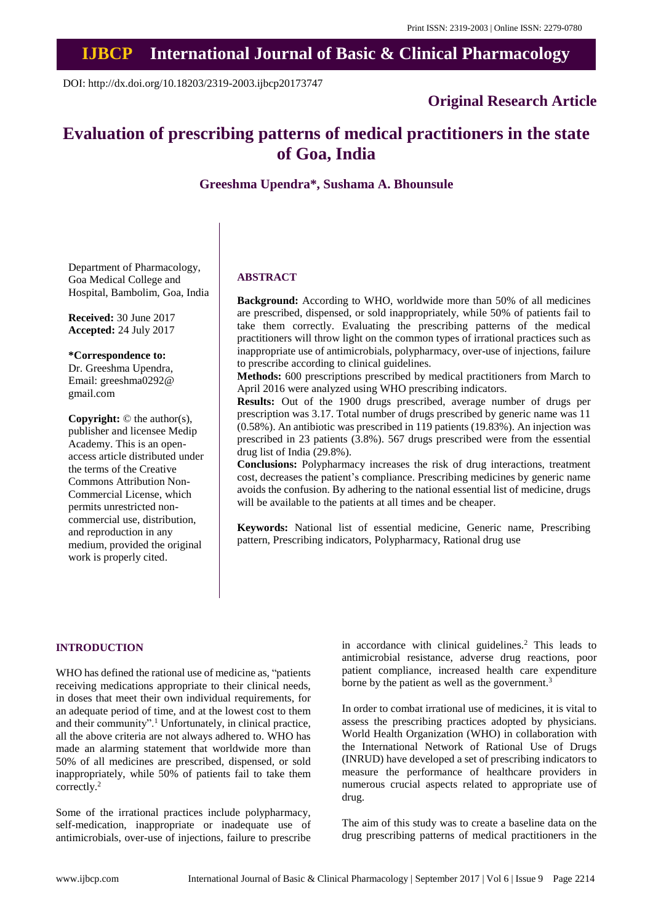## **IJBCP International Journal of Basic & Clinical Pharmacology**

DOI: http://dx.doi.org/10.18203/2319-2003.ijbcp20173747

## **Original Research Article**

# **Evaluation of prescribing patterns of medical practitioners in the state of Goa, India**

## **Greeshma Upendra\*, Sushama A. Bhounsule**

Department of Pharmacology, Goa Medical College and Hospital, Bambolim, Goa, India

**Received:** 30 June 2017 **Accepted:** 24 July 2017

#### **\*Correspondence to:**

Dr. Greeshma Upendra, Email: greeshma0292@ gmail.com

**Copyright:** © the author(s), publisher and licensee Medip Academy. This is an openaccess article distributed under the terms of the Creative Commons Attribution Non-Commercial License, which permits unrestricted noncommercial use, distribution, and reproduction in any medium, provided the original work is properly cited.

#### **ABSTRACT**

**Background:** According to WHO, worldwide more than 50% of all medicines are prescribed, dispensed, or sold inappropriately, while 50% of patients fail to take them correctly. Evaluating the prescribing patterns of the medical practitioners will throw light on the common types of irrational practices such as inappropriate use of antimicrobials, polypharmacy, over-use of injections, failure to prescribe according to clinical guidelines.

**Methods:** 600 prescriptions prescribed by medical practitioners from March to April 2016 were analyzed using WHO prescribing indicators.

**Results:** Out of the 1900 drugs prescribed, average number of drugs per prescription was 3.17. Total number of drugs prescribed by generic name was 11 (0.58%). An antibiotic was prescribed in 119 patients (19.83%). An injection was prescribed in 23 patients (3.8%). 567 drugs prescribed were from the essential drug list of India (29.8%).

**Conclusions:** Polypharmacy increases the risk of drug interactions, treatment cost, decreases the patient's compliance. Prescribing medicines by generic name avoids the confusion. By adhering to the national essential list of medicine, drugs will be available to the patients at all times and be cheaper.

**Keywords:** National list of essential medicine, Generic name, Prescribing pattern, Prescribing indicators, Polypharmacy, Rational drug use

#### **INTRODUCTION**

WHO has defined the rational use of medicine as, "patients receiving medications appropriate to their clinical needs, in doses that meet their own individual requirements, for an adequate period of time, and at the lowest cost to them and their community".<sup>1</sup> Unfortunately, in clinical practice, all the above criteria are not always adhered to. WHO has made an alarming statement that worldwide more than 50% of all medicines are prescribed, dispensed, or sold inappropriately, while 50% of patients fail to take them correctly.<sup>2</sup>

Some of the irrational practices include polypharmacy, self-medication, inappropriate or inadequate use of antimicrobials, over-use of injections, failure to prescribe in accordance with clinical guidelines.<sup>2</sup> This leads to antimicrobial resistance, adverse drug reactions, poor patient compliance, increased health care expenditure borne by the patient as well as the government.<sup>3</sup>

In order to combat irrational use of medicines, it is vital to assess the prescribing practices adopted by physicians. World Health Organization (WHO) in collaboration with the International Network of Rational Use of Drugs (INRUD) have developed a set of prescribing indicators to measure the performance of healthcare providers in numerous crucial aspects related to appropriate use of drug.

The aim of this study was to create a baseline data on the drug prescribing patterns of medical practitioners in the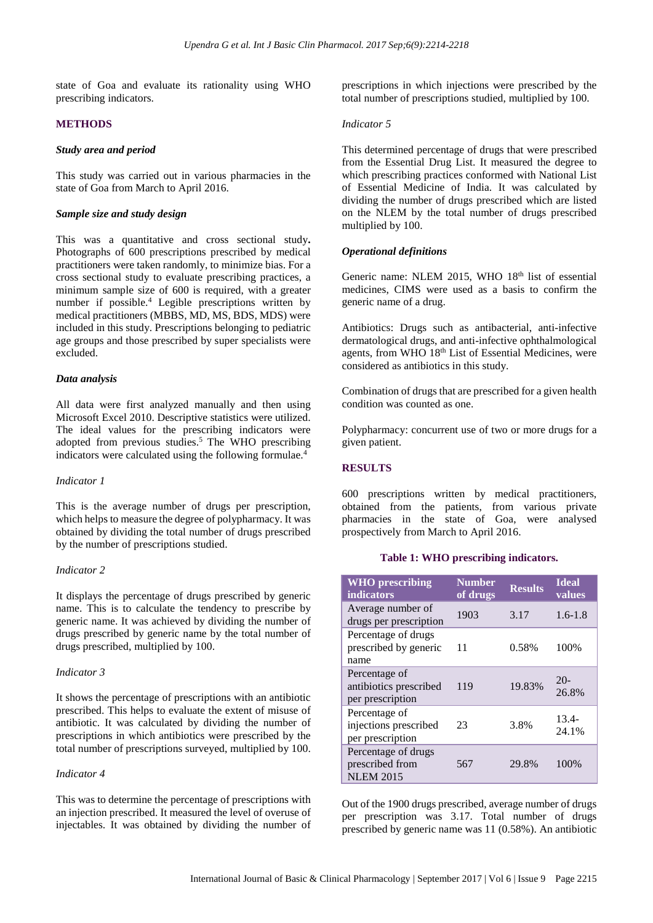state of Goa and evaluate its rationality using WHO prescribing indicators.

### **METHODS**

#### *Study area and period*

This study was carried out in various pharmacies in the state of Goa from March to April 2016.

#### *Sample size and study design*

This was a quantitative and cross sectional study**.** Photographs of 600 prescriptions prescribed by medical practitioners were taken randomly, to minimize bias. For a cross sectional study to evaluate prescribing practices, a minimum sample size of 600 is required, with a greater number if possible.<sup>4</sup> Legible prescriptions written by medical practitioners (MBBS, MD, MS, BDS, MDS) were included in this study. Prescriptions belonging to pediatric age groups and those prescribed by super specialists were excluded.

#### *Data analysis*

All data were first analyzed manually and then using Microsoft Excel 2010. Descriptive statistics were utilized. The ideal values for the prescribing indicators were adopted from previous studies.<sup>5</sup> The WHO prescribing indicators were calculated using the following formulae.<sup>4</sup>

#### *Indicator 1*

This is the average number of drugs per prescription, which helps to measure the degree of polypharmacy. It was obtained by dividing the total number of drugs prescribed by the number of prescriptions studied.

#### *Indicator 2*

It displays the percentage of drugs prescribed by generic name. This is to calculate the tendency to prescribe by generic name. It was achieved by dividing the number of drugs prescribed by generic name by the total number of drugs prescribed, multiplied by 100.

## *Indicator 3*

It shows the percentage of prescriptions with an antibiotic prescribed. This helps to evaluate the extent of misuse of antibiotic. It was calculated by dividing the number of prescriptions in which antibiotics were prescribed by the total number of prescriptions surveyed, multiplied by 100.

#### *Indicator 4*

This was to determine the percentage of prescriptions with an injection prescribed. It measured the level of overuse of injectables. It was obtained by dividing the number of prescriptions in which injections were prescribed by the total number of prescriptions studied, multiplied by 100.

#### *Indicator 5*

This determined percentage of drugs that were prescribed from the Essential Drug List. It measured the degree to which prescribing practices conformed with National List of Essential Medicine of India. It was calculated by dividing the number of drugs prescribed which are listed on the NLEM by the total number of drugs prescribed multiplied by 100.

## *Operational definitions*

Generic name: NLEM 2015, WHO 18<sup>th</sup> list of essential medicines, CIMS were used as a basis to confirm the generic name of a drug.

Antibiotics: Drugs such as antibacterial, anti-infective dermatological drugs, and anti-infective ophthalmological agents, from WHO 18<sup>th</sup> List of Essential Medicines, were considered as antibiotics in this study.

Combination of drugs that are prescribed for a given health condition was counted as one.

Polypharmacy: concurrent use of two or more drugs for a given patient.

## **RESULTS**

600 prescriptions written by medical practitioners, obtained from the patients, from various private pharmacies in the state of Goa, were analysed prospectively from March to April 2016.

#### **Table 1: WHO prescribing indicators.**

| <b>WHO</b> prescribing<br><b>indicators</b>                 | <b>Number</b><br>of drugs | <b>Results</b> | <b>Ideal</b><br>values |
|-------------------------------------------------------------|---------------------------|----------------|------------------------|
| Average number of<br>drugs per prescription                 | 1903                      | 3.17           | $1.6 - 1.8$            |
| Percentage of drugs<br>prescribed by generic<br>name        | 11                        | 0.58%          | 100%                   |
| Percentage of<br>antibiotics prescribed<br>per prescription | 119                       | 19.83%         | $20-$<br>26.8%         |
| Percentage of<br>injections prescribed<br>per prescription  | 23                        | 3.8%           | $13.4-$<br>24.1%       |
| Percentage of drugs<br>prescribed from<br><b>NLEM 2015</b>  | 567                       | 29.8%          | 100%                   |

Out of the 1900 drugs prescribed, average number of drugs per prescription was 3.17. Total number of drugs prescribed by generic name was 11 (0.58%). An antibiotic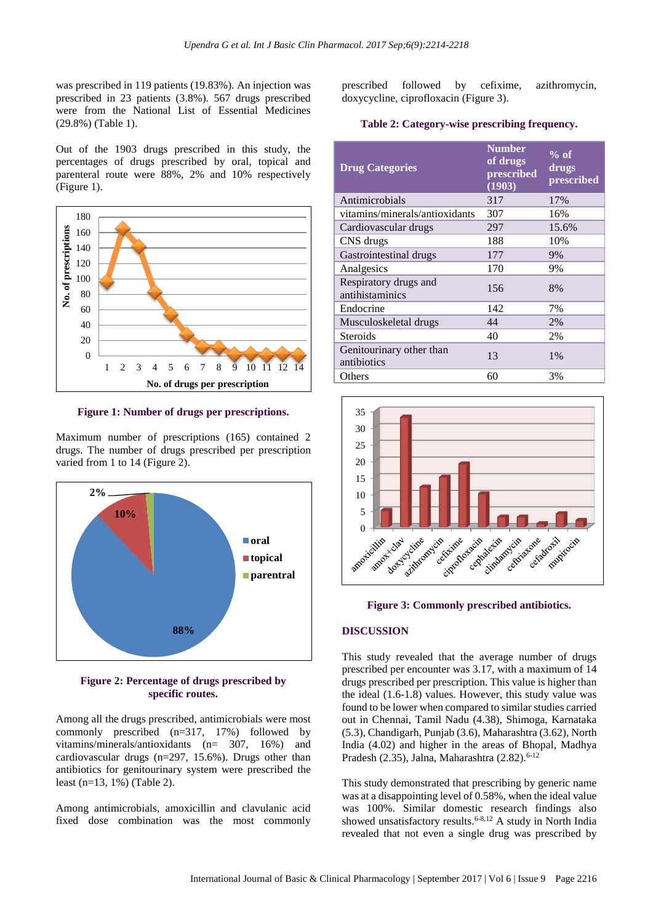was prescribed in 119 patients (19.83%). An injection was prescribed in 23 patients (3.8%). 567 drugs prescribed were from the National List of Essential Medicines (29.8%) (Table 1).

Out of the 1903 drugs prescribed in this study, the percentages of drugs prescribed by oral, topical and parenteral route were 88%, 2% and 10% respectively (Figure 1).



**Figure 1: Number of drugs per prescriptions.**

Maximum number of prescriptions (165) contained 2 drugs. The number of drugs prescribed per prescription varied from 1 to 14 (Figure 2).



#### **Figure 2: Percentage of drugs prescribed by specific routes.**

Among all the drugs prescribed, antimicrobials were most commonly prescribed (n=317, 17%) followed by vitamins/minerals/antioxidants (n= 307, 16%) and cardiovascular drugs (n=297, 15.6%). Drugs other than antibiotics for genitourinary system were prescribed the least (n=13, 1%) (Table 2).

Among antimicrobials, amoxicillin and clavulanic acid fixed dose combination was the most commonly

prescribed followed by cefixime, azithromycin, doxycycline, ciprofloxacin (Figure 3).

#### **Table 2: Category-wise prescribing frequency.**

| <b>Drug Categories</b>                   | <b>Number</b><br>of drugs<br>prescribed<br>(1903) | $%$ of<br>drugs<br>prescribed |
|------------------------------------------|---------------------------------------------------|-------------------------------|
| Antimicrobials                           | 317                                               | 17%                           |
| vitamins/minerals/antioxidants           | 307                                               | 16%                           |
| Cardiovascular drugs                     | 297                                               | 15.6%                         |
| CNS drugs                                | 188                                               | 10%                           |
| Gastrointestinal drugs                   | 177                                               | 9%                            |
| Analgesics                               | 170                                               | 9%                            |
| Respiratory drugs and<br>antihistaminics | 156                                               | 8%                            |
| Endocrine                                | 142                                               | 7%                            |
| Musculoskeletal drugs                    | 44                                                | 2%                            |
| Steroids                                 | 40                                                | 2%                            |
| Genitourinary other than<br>antibiotics  | 13                                                | 1%                            |
| Others                                   | 60                                                | 3%                            |



#### **Figure 3: Commonly prescribed antibiotics.**

#### **DISCUSSION**

This study revealed that the average number of drugs prescribed per encounter was 3.17, with a maximum of 14 drugs prescribed per prescription. This value is higher than the ideal (1.6-1.8) values. However, this study value was found to be lower when compared to similar studies carried out in Chennai, Tamil Nadu (4.38), Shimoga, Karnataka (5.3), Chandigarh, Punjab (3.6), Maharashtra (3.62), North India (4.02) and higher in the areas of Bhopal, Madhya Pradesh (2.35), Jalna, Maharashtra (2.82). $6-12$ 

This study demonstrated that prescribing by generic name was at a disappointing level of 0.58%, when the ideal value was 100%. Similar domestic research findings also showed unsatisfactory results.<sup>6-8,12</sup> A study in North India revealed that not even a single drug was prescribed by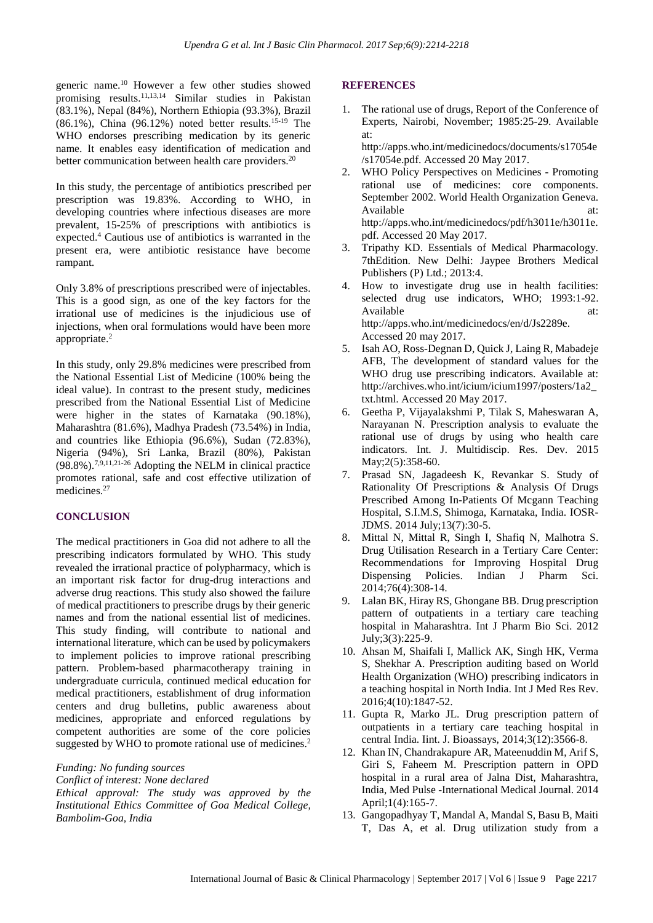generic name.<sup>10</sup> However a few other studies showed promising results.<sup>11,13,14</sup> Similar studies in Pakistan (83.1%), Nepal (84%), Northern Ethiopia (93.3%), Brazil  $(86.1\%)$ , China  $(96.12\%)$  noted better results.<sup>15-19</sup> The WHO endorses prescribing medication by its generic name. It enables easy identification of medication and better communication between health care providers.<sup>20</sup>

In this study, the percentage of antibiotics prescribed per prescription was 19.83%. According to WHO, in developing countries where infectious diseases are more prevalent, 15-25% of prescriptions with antibiotics is expected.<sup>4</sup> Cautious use of antibiotics is warranted in the present era, were antibiotic resistance have become rampant.

Only 3.8% of prescriptions prescribed were of injectables. This is a good sign, as one of the key factors for the irrational use of medicines is the injudicious use of injections, when oral formulations would have been more appropriate. 2

In this study, only 29.8% medicines were prescribed from the National Essential List of Medicine (100% being the ideal value). In contrast to the present study, medicines prescribed from the National Essential List of Medicine were higher in the states of Karnataka (90.18%), Maharashtra (81.6%), Madhya Pradesh (73.54%) in India, and countries like Ethiopia (96.6%), Sudan (72.83%), Nigeria (94%), Sri Lanka, Brazil (80%), Pakistan (98.8%).7,9,11,21-26 Adopting the NELM in clinical practice promotes rational, safe and cost effective utilization of medicines.<sup>27</sup>

## **CONCLUSION**

The medical practitioners in Goa did not adhere to all the prescribing indicators formulated by WHO. This study revealed the irrational practice of polypharmacy, which is an important risk factor for drug-drug interactions and adverse drug reactions. This study also showed the failure of medical practitioners to prescribe drugs by their generic names and from the national essential list of medicines. This study finding, will contribute to national and international literature, which can be used by policymakers to implement policies to improve rational prescribing pattern. Problem-based pharmacotherapy training in undergraduate curricula, continued medical education for medical practitioners, establishment of drug information centers and drug bulletins, public awareness about medicines, appropriate and enforced regulations by competent authorities are some of the core policies suggested by WHO to promote rational use of medicines.<sup>2</sup>

#### *Funding: No funding sources*

*Conflict of interest: None declared Ethical approval: The study was approved by the Institutional Ethics Committee of Goa Medical College, Bambolim-Goa, India*

#### **REFERENCES**

- 1. The rational use of drugs, Report of the Conference of Experts, Nairobi, November; 1985:25-29. Available at: http://apps.who.int/medicinedocs/documents/s17054e /s17054e.pdf. Accessed 20 May 2017.
- 2. WHO Policy Perspectives on Medicines Promoting rational use of medicines: core components. September 2002. World Health Organization Geneva. Available at: http://apps.who.int/medicinedocs/pdf/h3011e/h3011e. pdf. Accessed 20 May 2017.
- 3. Tripathy KD. Essentials of Medical Pharmacology. 7thEdition. New Delhi: Jaypee Brothers Medical Publishers (P) Ltd.; 2013:4.
- 4. How to investigate drug use in health facilities: selected drug use indicators, WHO; 1993:1-92. Available at: at: http://apps.who.int/medicinedocs/en/d/Js2289e. Accessed 20 may 2017.
- 5. Isah AO, Ross-Degnan D, Quick J, Laing R, Mabadeje AFB, The development of standard values for the WHO drug use prescribing indicators. Available at: http://archives.who.int/icium/icium1997/posters/1a2\_ txt.html. Accessed 20 May 2017.
- 6. Geetha P, Vijayalakshmi P, Tilak S, Maheswaran A, Narayanan N. Prescription analysis to evaluate the rational use of drugs by using who health care indicators. Int. J. Multidiscip. Res. Dev. 2015 May;2(5):358-60.
- 7. Prasad SN, Jagadeesh K, Revankar S. Study of Rationality Of Prescriptions & Analysis Of Drugs Prescribed Among In-Patients Of Mcgann Teaching Hospital, S.I.M.S, Shimoga, Karnataka, India. IOSR-JDMS. 2014 July;13(7):30-5.
- 8. Mittal N, Mittal R, Singh I, Shafiq N, Malhotra S. Drug Utilisation Research in a Tertiary Care Center: Recommendations for Improving Hospital Drug Dispensing Policies. Indian J Pharm Sci. 2014;76(4):308-14.
- 9. Lalan BK, Hiray RS, Ghongane BB. Drug prescription pattern of outpatients in a tertiary care teaching hospital in Maharashtra. Int J Pharm Bio Sci. 2012 July;3(3):225-9.
- 10. Ahsan M, Shaifali I, Mallick AK, Singh HK, Verma S, Shekhar A. Prescription auditing based on World Health Organization (WHO) prescribing indicators in a teaching hospital in North India. Int J Med Res Rev. 2016;4(10):1847-52.
- 11. Gupta R, Marko JL. Drug prescription pattern of outpatients in a tertiary care teaching hospital in central India. Iint. J. Bioassays, 2014;3(12):3566-8.
- 12. Khan IN, Chandrakapure AR, Mateenuddin M, Arif S, Giri S, Faheem M. Prescription pattern in OPD hospital in a rural area of Jalna Dist, Maharashtra, India, Med Pulse -International Medical Journal. 2014 April;1(4):165-7.
- 13. Gangopadhyay T, Mandal A, Mandal S, Basu B, Maiti T, Das A, et al. Drug utilization study from a